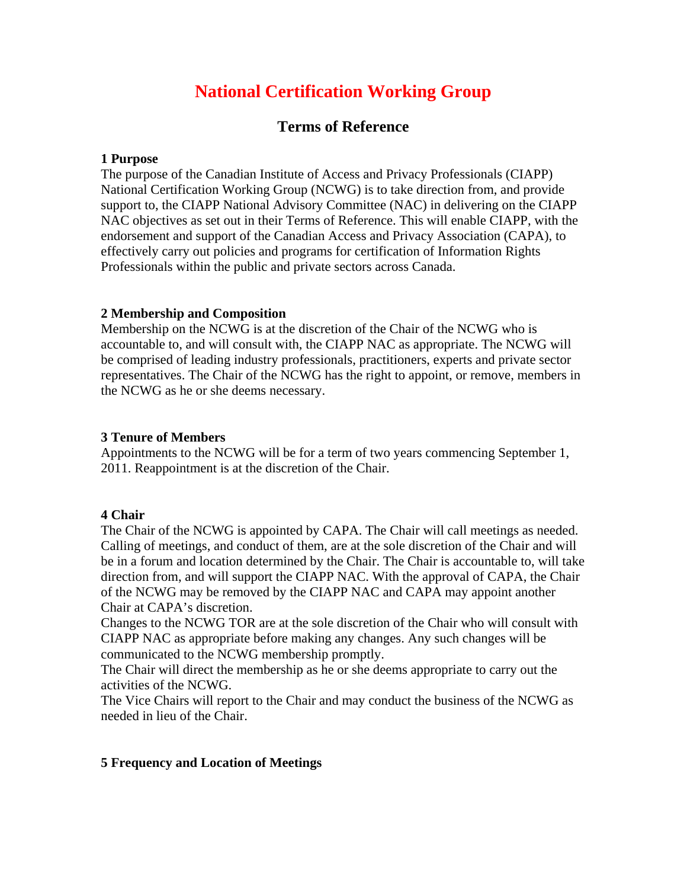# **National Certification Working Group**

# **Terms of Reference**

#### **1 Purpose**

The purpose of the Canadian Institute of Access and Privacy Professionals (CIAPP) National Certification Working Group (NCWG) is to take direction from, and provide support to, the CIAPP National Advisory Committee (NAC) in delivering on the CIAPP NAC objectives as set out in their Terms of Reference. This will enable CIAPP, with the endorsement and support of the Canadian Access and Privacy Association (CAPA), to effectively carry out policies and programs for certification of Information Rights Professionals within the public and private sectors across Canada.

## **2 Membership and Composition**

Membership on the NCWG is at the discretion of the Chair of the NCWG who is accountable to, and will consult with, the CIAPP NAC as appropriate. The NCWG will be comprised of leading industry professionals, practitioners, experts and private sector representatives. The Chair of the NCWG has the right to appoint, or remove, members in the NCWG as he or she deems necessary.

#### **3 Tenure of Members**

Appointments to the NCWG will be for a term of two years commencing September 1, 2011. Reappointment is at the discretion of the Chair.

## **4 Chair**

The Chair of the NCWG is appointed by CAPA. The Chair will call meetings as needed. Calling of meetings, and conduct of them, are at the sole discretion of the Chair and will be in a forum and location determined by the Chair. The Chair is accountable to, will take direction from, and will support the CIAPP NAC. With the approval of CAPA, the Chair of the NCWG may be removed by the CIAPP NAC and CAPA may appoint another Chair at CAPA's discretion.

Changes to the NCWG TOR are at the sole discretion of the Chair who will consult with CIAPP NAC as appropriate before making any changes. Any such changes will be communicated to the NCWG membership promptly.

The Chair will direct the membership as he or she deems appropriate to carry out the activities of the NCWG.

The Vice Chairs will report to the Chair and may conduct the business of the NCWG as needed in lieu of the Chair.

## **5 Frequency and Location of Meetings**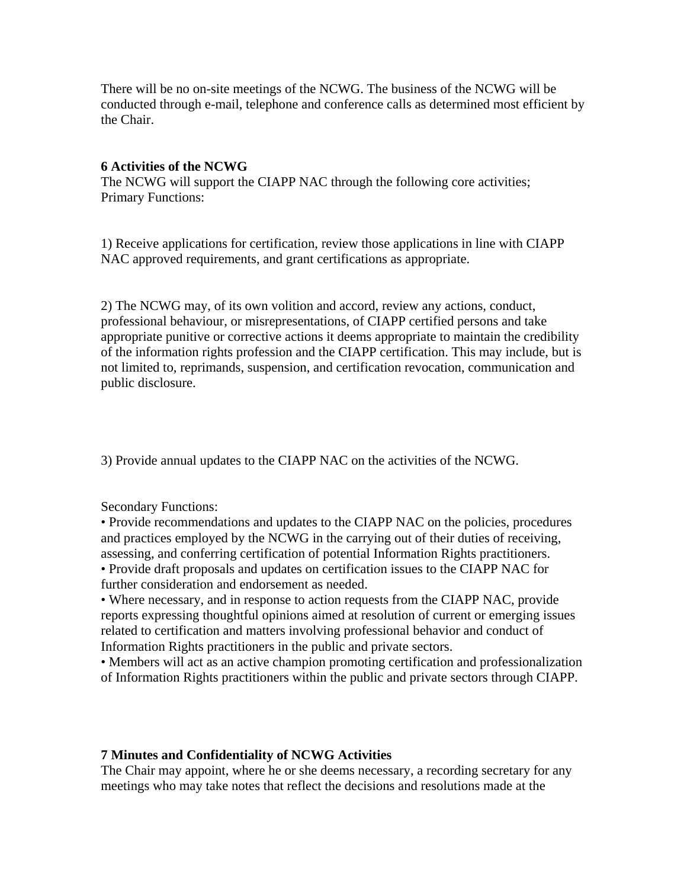There will be no on-site meetings of the NCWG. The business of the NCWG will be conducted through e-mail, telephone and conference calls as determined most efficient by the Chair.

#### **6 Activities of the NCWG**

The NCWG will support the CIAPP NAC through the following core activities; Primary Functions:

1) Receive applications for certification, review those applications in line with CIAPP NAC approved requirements, and grant certifications as appropriate.

2) The NCWG may, of its own volition and accord, review any actions, conduct, professional behaviour, or misrepresentations, of CIAPP certified persons and take appropriate punitive or corrective actions it deems appropriate to maintain the credibility of the information rights profession and the CIAPP certification. This may include, but is not limited to, reprimands, suspension, and certification revocation, communication and public disclosure.

3) Provide annual updates to the CIAPP NAC on the activities of the NCWG.

Secondary Functions:

• Provide recommendations and updates to the CIAPP NAC on the policies, procedures and practices employed by the NCWG in the carrying out of their duties of receiving, assessing, and conferring certification of potential Information Rights practitioners. • Provide draft proposals and updates on certification issues to the CIAPP NAC for further consideration and endorsement as needed.

• Where necessary, and in response to action requests from the CIAPP NAC, provide reports expressing thoughtful opinions aimed at resolution of current or emerging issues related to certification and matters involving professional behavior and conduct of Information Rights practitioners in the public and private sectors.

• Members will act as an active champion promoting certification and professionalization of Information Rights practitioners within the public and private sectors through CIAPP.

#### **7 Minutes and Confidentiality of NCWG Activities**

The Chair may appoint, where he or she deems necessary, a recording secretary for any meetings who may take notes that reflect the decisions and resolutions made at the